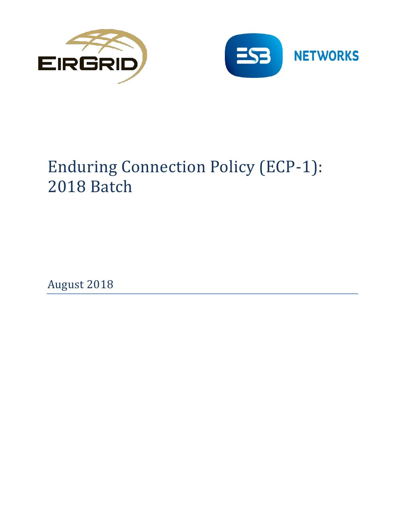



# Enduring Connection Policy (ECP-1): 2018 Batch

August 2018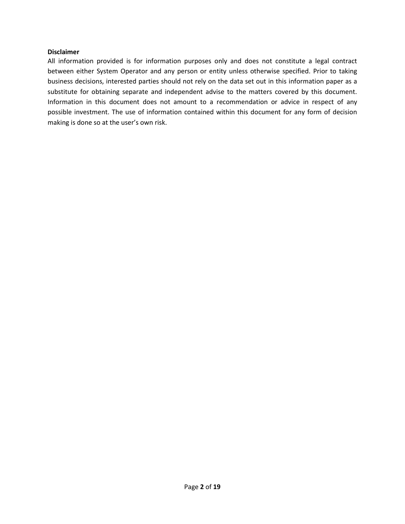#### **Disclaimer**

All information provided is for information purposes only and does not constitute a legal contract between either System Operator and any person or entity unless otherwise specified. Prior to taking business decisions, interested parties should not rely on the data set out in this information paper as a substitute for obtaining separate and independent advise to the matters covered by this document. Information in this document does not amount to a recommendation or advice in respect of any possible investment. The use of information contained within this document for any form of decision making is done so at the user's own risk.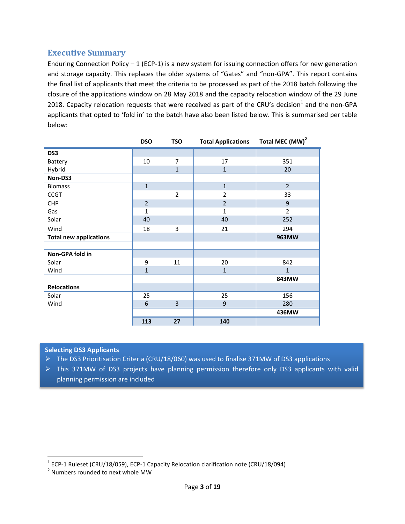## **Executive Summary**

Enduring Connection Policy  $-1$  (ECP-1) is a new system for issuing connection offers for new generation and storage capacity. This replaces the older systems of "Gates" and "non-GPA". This report contains the final list of applicants that meet the criteria to be processed as part of the 2018 batch following the closure of the applications window on 28 May 2018 and the capacity relocation window of the 29 June 2018. Capacity relocation requests that were received as part of the CRU's decision<sup>1</sup> and the non-GPA applicants that opted to 'fold in' to the batch have also been listed below. This is summarised per table below:

|                               | <b>DSO</b>     | <b>TSO</b>     | <b>Total Applications</b> | Total MEC (MW) <sup>2</sup> |
|-------------------------------|----------------|----------------|---------------------------|-----------------------------|
| DS <sub>3</sub>               |                |                |                           |                             |
| Battery                       | 10             | $\overline{7}$ | 17                        | 351                         |
| Hybrid                        |                | $\mathbf{1}$   | $\mathbf 1$               | 20                          |
| Non-DS3                       |                |                |                           |                             |
| <b>Biomass</b>                | $\mathbf{1}$   |                | $\mathbf{1}$              | $\overline{2}$              |
| <b>CCGT</b>                   |                | $\overline{2}$ | $\overline{2}$            | 33                          |
| <b>CHP</b>                    | $\overline{2}$ |                | $\overline{2}$            | 9                           |
| Gas                           | $\mathbf{1}$   |                | $\mathbf{1}$              | 2                           |
| Solar                         | 40             |                | 40                        | 252                         |
| Wind                          | 18             | 3              | 21                        | 294                         |
| <b>Total new applications</b> |                |                |                           | 963MW                       |
|                               |                |                |                           |                             |
| Non-GPA fold in               |                |                |                           |                             |
| Solar                         | 9              | 11             | 20                        | 842                         |
| Wind                          | $\overline{1}$ |                | $\mathbf{1}$              | $\mathbf{1}$                |
|                               |                |                |                           | 843MW                       |
| <b>Relocations</b>            |                |                |                           |                             |
| Solar                         | 25             |                | 25                        | 156                         |
| Wind                          | 6              | 3              | 9                         | 280                         |
|                               |                |                |                           | 436MW                       |
|                               | 113            | 27             | 140                       |                             |

#### **Selecting DS3 Applicants**

- The DS3 Prioritisation Criteria (CRU/18/060) was used to finalise 371MW of DS3 applications
- $\triangleright$  This 371MW of DS3 projects have planning permission therefore only DS3 applicants with valid planning permission are included

 1 ECP-1 Ruleset (CRU/18/059), ECP-1 Capacity Relocation clarification note (CRU/18/094)

<sup>&</sup>lt;sup>2</sup> Numbers rounded to next whole MW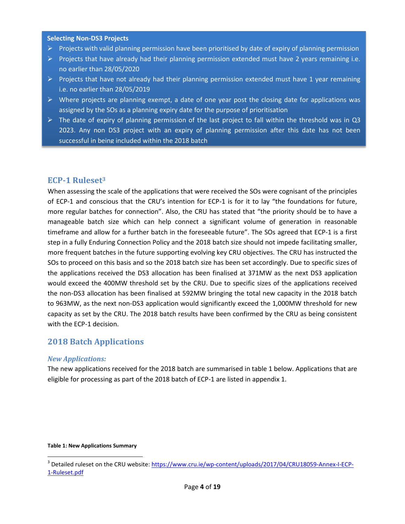#### **Selecting Non-DS3 Projects**

- $\triangleright$  Projects with valid planning permission have been prioritised by date of expiry of planning permission
- $\triangleright$  Projects that have already had their planning permission extended must have 2 years remaining i.e. no earlier than 28/05/2020
- $\triangleright$  Projects that have not already had their planning permission extended must have 1 year remaining i.e. no earlier than 28/05/2019
- $\triangleright$  Where projects are planning exempt, a date of one year post the closing date for applications was assigned by the SOs as a planning expiry date for the purpose of prioritisation
- $\triangleright$  The date of expiry of planning permission of the last project to fall within the threshold was in Q3 2023. Any non DS3 project with an expiry of planning permission after this date has not been successful in being included within the 2018 batch

## **ECP-1 Ruleset<sup>3</sup>**

When assessing the scale of the applications that were received the SOs were cognisant of the principles of ECP-1 and conscious that the CRU's intention for ECP-1 is for it to lay "the foundations for future, more regular batches for connection". Also, the CRU has stated that "the priority should be to have a manageable batch size which can help connect a significant volume of generation in reasonable timeframe and allow for a further batch in the foreseeable future". The SOs agreed that ECP-1 is a first step in a fully Enduring Connection Policy and the 2018 batch size should not impede facilitating smaller, more frequent batches in the future supporting evolving key CRU objectives. The CRU has instructed the SOs to proceed on this basis and so the 2018 batch size has been set accordingly. Due to specific sizes of the applications received the DS3 allocation has been finalised at 371MW as the next DS3 application would exceed the 400MW threshold set by the CRU. Due to specific sizes of the applications received the non-DS3 allocation has been finalised at 592MW bringing the total new capacity in the 2018 batch to 963MW, as the next non-DS3 application would significantly exceed the 1,000MW threshold for new capacity as set by the CRU. The 2018 batch results have been confirmed by the CRU as being consistent with the ECP-1 decision.

# **2018 Batch Applications**

#### *New Applications:*

The new applications received for the 2018 batch are summarised in table 1 below. Applications that are eligible for processing as part of the 2018 batch of ECP-1 are listed in appendix 1.

#### **Table 1: New Applications Summary**

l

<sup>&</sup>lt;sup>3</sup> Detailed ruleset on the CRU website: <u>https://www.cru.ie/wp-content/uploads/2017/04/CRU18059-Annex-I-ECP-</u> [1-Ruleset.pdf](https://www.cru.ie/wp-content/uploads/2017/04/CRU18059-Annex-I-ECP-1-Ruleset.pdf)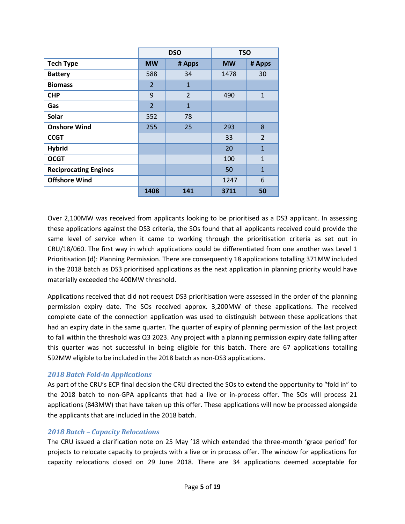|                              |                | <b>DSO</b>   | <b>TSO</b> |                |  |
|------------------------------|----------------|--------------|------------|----------------|--|
| <b>Tech Type</b>             | <b>MW</b>      | # Apps       | <b>MW</b>  | # Apps         |  |
| <b>Battery</b>               | 588            | 34           | 1478       | 30             |  |
| <b>Biomass</b>               | $\overline{2}$ | $\mathbf{1}$ |            |                |  |
| <b>CHP</b>                   | 9              | 2            | 490        | $\mathbf{1}$   |  |
| Gas                          | $\overline{2}$ | $\mathbf{1}$ |            |                |  |
| Solar                        | 552            | 78           |            |                |  |
| <b>Onshore Wind</b>          | 255            | 25           | 293        | 8              |  |
| <b>CCGT</b>                  |                |              | 33         | $\overline{2}$ |  |
| <b>Hybrid</b>                |                |              | 20         | $\mathbf{1}$   |  |
| <b>OCGT</b>                  |                |              | 100        | $\mathbf{1}$   |  |
| <b>Reciprocating Engines</b> |                |              | 50         | $\mathbf{1}$   |  |
| <b>Offshore Wind</b>         |                |              | 1247       | 6              |  |
|                              | 1408           | 141          | 3711       | 50             |  |

Over 2,100MW was received from applicants looking to be prioritised as a DS3 applicant. In assessing these applications against the DS3 criteria, the SOs found that all applicants received could provide the same level of service when it came to working through the prioritisation criteria as set out in CRU/18/060. The first way in which applications could be differentiated from one another was Level 1 Prioritisation (d): Planning Permission. There are consequently 18 applications totalling 371MW included in the 2018 batch as DS3 prioritised applications as the next application in planning priority would have materially exceeded the 400MW threshold.

Applications received that did not request DS3 prioritisation were assessed in the order of the planning permission expiry date. The SOs received approx. 3,200MW of these applications. The received complete date of the connection application was used to distinguish between these applications that had an expiry date in the same quarter. The quarter of expiry of planning permission of the last project to fall within the threshold was Q3 2023. Any project with a planning permission expiry date falling after this quarter was not successful in being eligible for this batch. There are 67 applications totalling 592MW eligible to be included in the 2018 batch as non-DS3 applications.

#### *2018 Batch Fold-in Applications*

As part of the CRU's ECP final decision the CRU directed the SOs to extend the opportunity to "fold in" to the 2018 batch to non-GPA applicants that had a live or in-process offer. The SOs will process 21 applications (843MW) that have taken up this offer. These applications will now be processed alongside the applicants that are included in the 2018 batch.

#### *2018 Batch – Capacity Relocations*

The CRU issued a clarification note on 25 May '18 which extended the three-month 'grace period' for projects to relocate capacity to projects with a live or in process offer. The window for applications for capacity relocations closed on 29 June 2018. There are 34 applications deemed acceptable for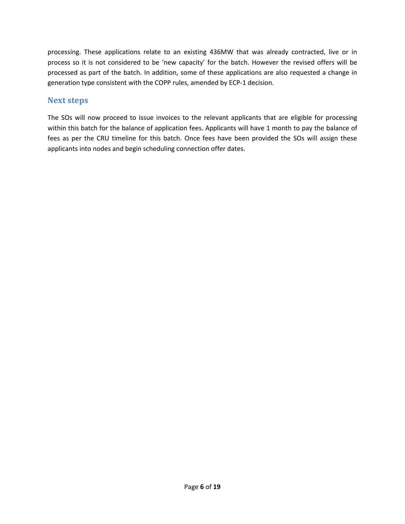processing. These applications relate to an existing 436MW that was already contracted, live or in process so it is not considered to be 'new capacity' for the batch. However the revised offers will be processed as part of the batch. In addition, some of these applications are also requested a change in generation type consistent with the COPP rules, amended by ECP-1 decision.

# **Next steps**

The SOs will now proceed to issue invoices to the relevant applicants that are eligible for processing within this batch for the balance of application fees. Applicants will have 1 month to pay the balance of fees as per the CRU timeline for this batch. Once fees have been provided the SOs will assign these applicants into nodes and begin scheduling connection offer dates.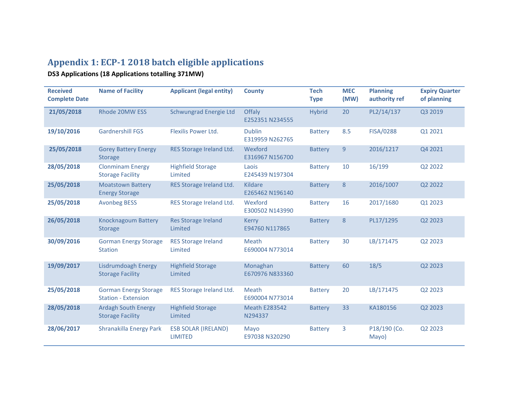# **Appendix 1: ECP-1 2018 batch eligible applications**

**DS3 Applications (18 Applications totalling 371MW)**

| <b>Received</b><br><b>Complete Date</b> | <b>Name of Facility</b>                                    | <b>Applicant (legal entity)</b>              | <b>County</b>                                           | <b>Tech</b><br><b>Type</b> | <b>MEC</b><br>(MW) | <b>Planning</b><br>authority ref | <b>Expiry Quarter</b><br>of planning |
|-----------------------------------------|------------------------------------------------------------|----------------------------------------------|---------------------------------------------------------|----------------------------|--------------------|----------------------------------|--------------------------------------|
| 21/05/2018                              | Rhode 20MW ESS                                             | Schwungrad Energie Ltd                       | Offaly<br>E252351 N234555                               | <b>Hybrid</b>              | 20                 | PL2/14/137                       | Q3 2019                              |
| 19/10/2016                              | <b>Gardnershill FGS</b>                                    | Flexilis Power Ltd.                          | <b>Dublin</b><br>E319959 N262765                        | <b>Battery</b>             | 8.5                | <b>FISA/0288</b>                 | Q1 2021                              |
| 25/05/2018                              | <b>Gorey Battery Energy</b><br><b>Storage</b>              | RES Storage Ireland Ltd.                     | Wexford<br>E316967 N156700                              | <b>Battery</b>             | 9                  | 2016/1217                        | Q4 2021                              |
| 28/05/2018                              | <b>Clonminam Energy</b><br><b>Storage Facility</b>         | <b>Highfield Storage</b><br>Limited          | Laois<br>E245439 N197304                                | <b>Battery</b>             | 10                 | 16/199                           | Q2 2022                              |
| 25/05/2018                              | <b>Moatstown Battery</b><br><b>Energy Storage</b>          | RES Storage Ireland Ltd.                     | Kildare<br>8<br><b>Battery</b><br>E265462 N196140       |                            | 2016/1007          | Q2 2022                          |                                      |
| 25/05/2018                              | <b>Avonbeg BESS</b>                                        | RES Storage Ireland Ltd.                     | Wexford<br>E300502 N143990                              | <b>Battery</b>             | 16                 | 2017/1680                        | Q1 2023                              |
| 26/05/2018                              | <b>Knocknagoum Battery</b><br>Storage                      | <b>Res Storage Ireland</b><br>Limited        | <b>Kerry</b><br>E94760 N117865                          | <b>Battery</b>             | 8                  | PL17/1295                        | Q2 2023                              |
| 30/09/2016                              | <b>Gorman Energy Storage</b><br><b>Station</b>             | <b>RES Storage Ireland</b><br>Limited        | Meath<br>E690004 N773014                                | <b>Battery</b>             | 30                 | LB/171475                        | Q2 2023                              |
| 19/09/2017                              | Lisdrumdoagh Energy<br><b>Storage Facility</b>             | <b>Highfield Storage</b><br>Limited          | Monaghan<br>E670976 N833360                             | <b>Battery</b>             | 60                 | 18/5                             | Q2 2023                              |
| 25/05/2018                              | <b>Gorman Energy Storage</b><br><b>Station - Extension</b> | RES Storage Ireland Ltd.                     | Meath<br>E690004 N773014                                | <b>Battery</b>             | 20                 | LB/171475                        | Q2 2023                              |
| 28/05/2018                              | <b>Ardagh South Energy</b><br><b>Storage Facility</b>      | <b>Highfield Storage</b><br>Limited          | 33<br><b>Meath E283542</b><br><b>Battery</b><br>N294337 |                            | KA180156           | Q2 2023                          |                                      |
| 28/06/2017                              | Shranakilla Energy Park                                    | <b>ESB SOLAR (IRELAND)</b><br><b>LIMITED</b> | Mayo<br>E97038 N320290                                  | <b>Battery</b>             | 3                  | P18/190 (Co.<br>Mayo)            | Q2 2023                              |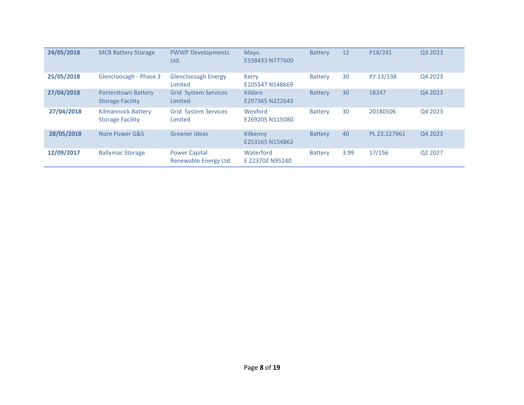| 24/05/2018 | <b>MCB Battery Storage</b>                           | <b>PWWP Developments</b><br>Ltd.              | Mayo<br>E538433 N777600         | <b>Battery</b> | 12   | P18/241      | Q3 2023 |
|------------|------------------------------------------------------|-----------------------------------------------|---------------------------------|----------------|------|--------------|---------|
| 25/05/2018 | Glencloosagh - Phase 3                               | <b>Glencloosagh Energy</b><br>Limited         | <b>Kerry</b><br>E105547 N148669 | <b>Battery</b> | 30   | KY 13/138    | Q4 2023 |
| 27/04/2018 | Porterstown Battery<br><b>Storage Facility</b>       | <b>Grid System Services</b><br>Limited        | Kildare<br>E297365 N222643      | <b>Battery</b> | 30   | 18247        | Q4 2023 |
| 27/04/2018 | <b>Kilmannock Battery</b><br><b>Storage Facility</b> | <b>Grid System Services</b><br>Limited        | Wexford<br>E269205 N115080      | <b>Battery</b> | 30   | 20180506     | Q4 2023 |
| 28/05/2018 | Nore Power G&S                                       | Greener Ideas                                 | Kilkenny<br>E253165 N154862     | <b>Battery</b> | 40   | PL 23.227961 | Q4 2023 |
| 12/09/2017 | <b>Ballymac Storage</b>                              | <b>Power Capital</b><br>Renewable Energy Ltd. | Waterford<br>E 223702 N95240    | <b>Battery</b> | 3.99 | 17/156       | Q2 2027 |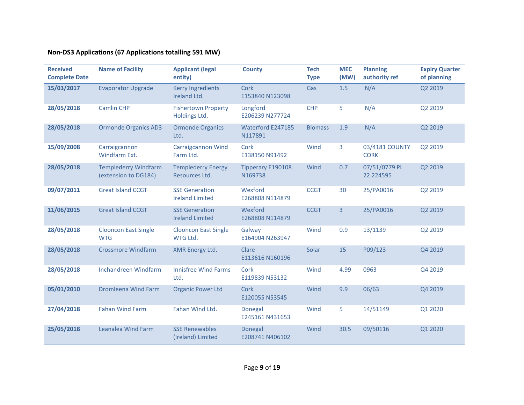# **Non-DS3 Applications (67 Applications totalling 591 MW)**

| <b>Received</b><br><b>Complete Date</b> | <b>Name of Facility</b>                             | <b>Applicant (legal</b><br>entity)              | <b>County</b>                | <b>Tech</b><br><b>Type</b>     | <b>MEC</b><br>(MW) | <b>Planning</b><br>authority ref | <b>Expiry Quarter</b><br>of planning |
|-----------------------------------------|-----------------------------------------------------|-------------------------------------------------|------------------------------|--------------------------------|--------------------|----------------------------------|--------------------------------------|
| 15/03/2017                              | <b>Evaporator Upgrade</b>                           | <b>Kerry Ingredients</b><br>Ireland Ltd.        | Cork<br>E153840 N123098      | Gas                            | 1.5                | N/A                              | Q2 2019                              |
| 28/05/2018                              | <b>Camlin CHP</b>                                   | <b>Fishertown Property</b><br>Holdings Ltd.     | Longford<br>E206239 N277724  | <b>CHP</b>                     | 5                  | N/A                              | Q2 2019                              |
| 28/05/2018                              | <b>Ormonde Organics AD3</b>                         | <b>Ormonde Organics</b><br>Ltd.                 | Waterford E247185<br>N117891 | <b>Biomass</b>                 | 1.9                | N/A                              | Q2 2019                              |
| 15/09/2008                              | Carraigcannon<br>Windfarm Ext.                      | <b>Carraigcannon Wind</b><br>Farm Ltd.          | Cork<br>E138150 N91492       | Wind                           | 3                  | 03/4181 COUNTY<br><b>CORK</b>    | Q2 2019                              |
| 28/05/2018                              | <b>Templederry Windfarm</b><br>(extension to DG184) | <b>Templederry Energy</b><br>Resources Ltd.     | Tipperary E190108<br>N169738 | Wind                           | 0.7                | 07/51/0779 PL<br>22.224595       | Q2 2019                              |
| 09/07/2011                              | <b>Great Island CCGT</b>                            | <b>SSE Generation</b><br><b>Ireland Limited</b> | Wexford<br>E268808 N114879   | 25/PA0016<br><b>CCGT</b><br>30 |                    | Q2 2019                          |                                      |
| 11/06/2015                              | <b>Great Island CCGT</b>                            | <b>SSE Generation</b><br><b>Ireland Limited</b> | Wexford<br>E268808 N114879   | <b>CCGT</b>                    | 3<br>25/PA0016     |                                  | Q2 2019                              |
| 28/05/2018                              | <b>Clooncon East Single</b><br><b>WTG</b>           | <b>Clooncon East Single</b><br>WTG Ltd.         | Galway<br>E164904 N263947    | Wind                           | 0.9                | 13/1139                          | Q2 2019                              |
| 28/05/2018                              | <b>Crossmore Windfarm</b>                           | XMR Energy Ltd.                                 | Clare<br>E113616 N160196     | Solar                          | 15                 | P09/123                          | Q4 2019                              |
| 28/05/2018                              | Inchandreen Windfarm                                | <b>Innisfree Wind Farms</b><br>Ltd.             | Cork<br>E119839 N53132       | Wind                           | 4.99               | 0963                             | Q4 2019                              |
| 05/01/2010                              | <b>Dromleena Wind Farm</b>                          | <b>Organic Power Ltd</b>                        | Cork<br>E120055 N53545       | Wind                           | 9.9                | 06/63                            | Q4 2019                              |
| 27/04/2018                              | <b>Fahan Wind Farm</b>                              | Fahan Wind Ltd.                                 | Donegal<br>E245161 N431653   | Wind                           | 5                  | 14/51149                         | Q1 2020                              |
| 25/05/2018                              | Leanalea Wind Farm                                  | <b>SSE Renewables</b><br>(Ireland) Limited      | Donegal<br>E208741 N406102   | Wind                           | 30.5               | 09/50116                         | Q1 2020                              |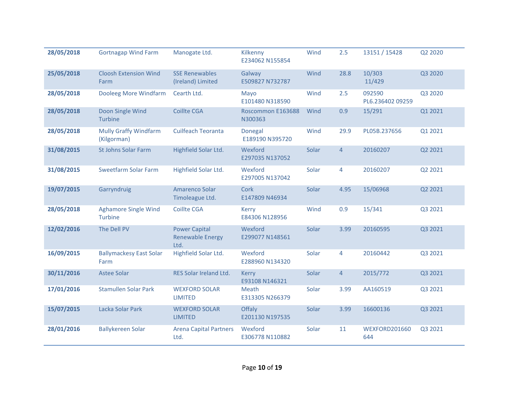| 28/05/2018 | <b>Gortnagap Wind Farm</b>                    | Manogate Ltd.                                                                           | Kilkenny<br>E234062 N155854                                       | Wind                   | 2.5            | 13151 / 15428              | Q2 2020 |
|------------|-----------------------------------------------|-----------------------------------------------------------------------------------------|-------------------------------------------------------------------|------------------------|----------------|----------------------------|---------|
| 25/05/2018 | <b>Cloosh Extension Wind</b><br>Farm          | <b>SSE Renewables</b><br>(Ireland) Limited                                              | Galway<br>E509827 N732787                                         | Wind                   | 28.8           | 10/303<br>11/429           | Q3 2020 |
| 28/05/2018 | Dooleeg More Windfarm                         | Cearth Ltd.                                                                             | Mayo<br>E101480 N318590                                           | Wind                   | 2.5            | 092590<br>PL6.236402 09259 | Q3 2020 |
| 28/05/2018 | Doon Single Wind<br>Turbine                   | <b>Coillte CGA</b>                                                                      | Roscommon E163688<br>N300363                                      | Wind<br>0.9<br>15/291  |                | Q1 2021                    |         |
| 28/05/2018 | <b>Mully Graffy Windfarm</b><br>(Kilgorman)   | <b>Cuilfeach Teoranta</b><br>Wind<br>29.9<br>PL05B.237656<br>Donegal<br>E189190 N395720 |                                                                   | Q1 2021                |                |                            |         |
| 31/08/2015 | <b>St Johns Solar Farm</b>                    | Highfield Solar Ltd.                                                                    | Wexford<br>Solar<br>$\overline{4}$<br>20160207<br>E297035 N137052 |                        | Q2 2021        |                            |         |
| 31/08/2015 | <b>Sweetfarm Solar Farm</b>                   | Highfield Solar Ltd.                                                                    | Wexford<br>E297005 N137042                                        | Solar<br>4<br>20160207 |                | Q2 2021                    |         |
| 19/07/2015 | Garryndruig                                   | Amarenco Solar<br>Timoleague Ltd.                                                       | Cork<br>Solar<br>4.95<br>15/06968<br>E147809 N46934               |                        |                | Q2 2021                    |         |
| 28/05/2018 | <b>Aghamore Single Wind</b><br><b>Turbine</b> | <b>Coillte CGA</b>                                                                      | <b>Kerry</b><br>E84306 N128956                                    | Wind                   | 0.9            | 15/341                     | Q3 2021 |
| 12/02/2016 | The Dell PV                                   | <b>Power Capital</b><br><b>Renewable Energy</b><br>Ltd.                                 | Wexford<br>E299077 N148561                                        | Solar                  | 3.99           | 20160595                   | Q3 2021 |
| 16/09/2015 | <b>Ballymackesy East Solar</b><br>Farm        | Highfield Solar Ltd.                                                                    | Wexford<br>E288960 N134320                                        | Solar                  | 4              | 20160442                   | Q3 2021 |
| 30/11/2016 | <b>Astee Solar</b>                            | RES Solar Ireland Ltd.                                                                  | <b>Kerry</b><br>E93108 N146321                                    | Solar                  | $\overline{4}$ | 2015/772                   | Q3 2021 |
| 17/01/2016 | <b>Stamullen Solar Park</b>                   | <b>WEXFORD SOLAR</b><br><b>LIMITED</b>                                                  | Meath<br>E313305 N266379                                          | Solar                  | 3.99           | AA160519                   | Q3 2021 |
| 15/07/2015 | Lacka Solar Park                              | <b>WEXFORD SOLAR</b><br><b>LIMITED</b>                                                  | <b>Offaly</b><br>E201130 N197535                                  | Solar                  | 3.99           | 16600136                   | Q3 2021 |
| 28/01/2016 | <b>Ballykereen Solar</b>                      | <b>Arena Capital Partners</b><br>Ltd.                                                   | Wexford<br>E306778 N110882                                        | Solar                  | 11             | WEXFORD201660<br>644       | Q3 2021 |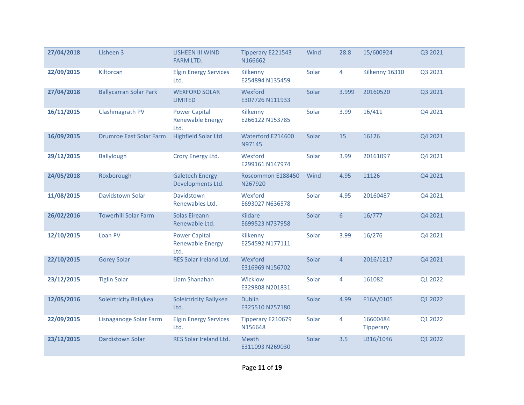| 27/04/2018 | Lisheen 3                      | <b>LISHEEN III WIND</b><br><b>FARM LTD.</b>             | <b>Tipperary E221543</b><br>N166662                    | Wind                      | 28.8            | 15/600924                    | Q3 2021 |
|------------|--------------------------------|---------------------------------------------------------|--------------------------------------------------------|---------------------------|-----------------|------------------------------|---------|
| 22/09/2015 | Kiltorcan                      | <b>Elgin Energy Services</b><br>Ltd.                    | Kilkenny<br>E254894 N135459                            | Solar                     | 4               | Kilkenny 16310               | Q3 2021 |
| 27/04/2018 | <b>Ballycarran Solar Park</b>  | <b>WEXFORD SOLAR</b><br><b>LIMITED</b>                  | Wexford<br>E307726 N111933                             | Solar                     | 3.999           | 20160520                     | Q3 2021 |
| 16/11/2015 | Clashmagrath PV                | <b>Power Capital</b><br><b>Renewable Energy</b><br>Ltd. | 16/411<br>Solar<br>3.99<br>Kilkenny<br>E266122 N153785 |                           | Q4 2021         |                              |         |
| 16/09/2015 | <b>Drumroe East Solar Farm</b> | Highfield Solar Ltd.                                    | Waterford E214600<br>Solar<br>15<br>N97145             |                           | 16126           | Q4 2021                      |         |
| 29/12/2015 | <b>Ballylough</b>              | Crory Energy Ltd.                                       | Wexford<br>E299161 N147974                             | Solar<br>3.99<br>20161097 |                 |                              | Q4 2021 |
| 24/05/2018 | Roxborough                     | <b>Galetech Energy</b><br>Developments Ltd.             | Roscommon E188450<br>N267920                           | 4.95<br>11126<br>Wind     |                 | Q4 2021                      |         |
| 11/08/2015 | Davidstown Solar               | Davidstown<br>Renewables Ltd.                           | Wexford<br>E693027 N636578                             | Solar                     | 4.95            | 20160487                     | Q4 2021 |
| 26/02/2016 | <b>Towerhill Solar Farm</b>    | <b>Solas Eireann</b><br>Renewable Ltd.                  | Kildare<br>E699523 N737958                             | Solar                     | $6\phantom{1}6$ | 16/777                       | Q4 2021 |
| 12/10/2015 | Loan PV                        | <b>Power Capital</b><br><b>Renewable Energy</b><br>Ltd. | Kilkenny<br>E254592 N177111                            | Solar                     | 3.99            | 16/276                       | Q4 2021 |
| 22/10/2015 | <b>Gorey Solar</b>             | RES Solar Ireland Ltd.                                  | Wexford<br>E316969 N156702                             | Solar                     | $\overline{4}$  | 2016/1217                    | Q4 2021 |
| 23/12/2015 | <b>Tiglin Solar</b>            | Liam Shanahan                                           | Wicklow<br>E329808 N201831                             | Solar                     | 4               | 161082                       | Q1 2022 |
| 12/05/2016 | Soleirtricity Ballykea         | Soleirtricity Ballykea<br>Ltd.                          | <b>Dublin</b><br>E325510 N257180                       | Solar                     | 4.99            | F16A/0105                    | Q1 2022 |
| 22/09/2015 | Lisnaganoge Solar Farm         | <b>Elgin Energy Services</b><br>Ltd.                    | Tipperary E210679<br>N156648                           | Solar                     | 4               | 16600484<br><b>Tipperary</b> | Q1 2022 |
| 23/12/2015 | Dardistown Solar               | <b>RES Solar Ireland Ltd.</b>                           | Meath<br>E311093 N269030                               | Solar                     | 3.5             | LB16/1046                    | Q1 2022 |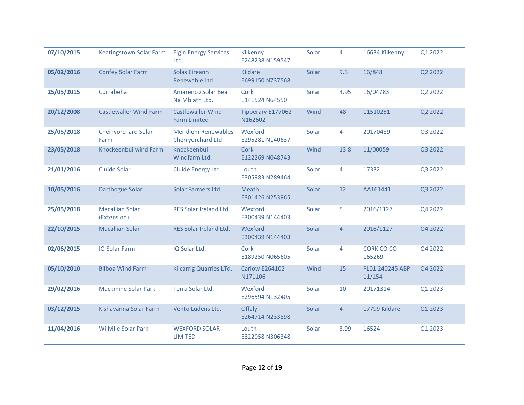| 07/10/2015 | Keatingstown Solar Farm               | <b>Elgin Energy Services</b><br>Ltd.             | Kilkenny<br>E248238 N159547                         | Solar                    | 4              | 16634 Kilkenny            | Q1 2022 |
|------------|---------------------------------------|--------------------------------------------------|-----------------------------------------------------|--------------------------|----------------|---------------------------|---------|
| 05/02/2016 | <b>Confey Solar Farm</b>              | <b>Solas Eireann</b><br>Renewable Ltd.           | Kildare<br>E699150 N737568                          | Solar                    | 9.5            | 16/848                    | Q2 2022 |
| 25/05/2015 | Currabeha                             | <b>Amarenco Solar Beal</b><br>Na Mblath Ltd.     | Cork<br>E141524 N64550                              | Solar                    | 4.95           | 16/04783                  | Q2 2022 |
| 20/12/2008 | <b>Castlewaller Wind Farm</b>         | <b>Castlewaller Wind</b><br><b>Farm Limited</b>  | Tipperary E177062<br>N162602                        | Wind<br>48<br>11510251   |                | Q2 2022                   |         |
| 25/05/2018 | <b>Cherryorchard Solar</b><br>Farm    | <b>Meridiem Renewables</b><br>Cherryorchard Ltd. | Wexford<br>E295281 N140637                          | Solar<br>4<br>20170489   |                | Q3 2022                   |         |
| 23/05/2018 | Knockeenbui wind Farm                 | Knockeenbui<br>Windfarm Ltd.                     | Cork<br>E122269 N048743                             | 11/00059<br>Wind<br>13.8 |                |                           | Q3 2022 |
| 21/01/2016 | <b>Cluide Solar</b>                   | Cluide Energy Ltd.                               | Louth<br>E305983 N289464                            | Solar<br>17332<br>4      |                | Q3 2022                   |         |
| 10/05/2016 | <b>Darthogue Solar</b>                | Solar Farmers Ltd.                               | Solar<br>12<br>Meath<br>AA161441<br>E301426 N253965 |                          |                | Q3 2022                   |         |
| 25/05/2018 | <b>Macallian Solar</b><br>(Extension) | RES Solar Ireland Ltd.                           | Wexford<br>E300439 N144403                          | Solar                    | 5              | 2016/1127                 | Q4 2022 |
| 22/10/2015 | <b>Macallian Solar</b>                | RES Solar Ireland Ltd.                           | Wexford<br>E300439 N144403                          | Solar                    | $\overline{4}$ | 2016/1127                 | Q4 2022 |
| 02/06/2015 | <b>IQ Solar Farm</b>                  | IQ Solar Ltd.                                    | Cork<br>E189250 N065605                             | Solar                    | $\overline{4}$ | CORK CO CO -<br>165269    | Q4 2022 |
| 05/10/2010 | <b>Bilboa Wind Farm</b>               | Kilcarrig Quarries LTd.                          | <b>Carlow E264102</b><br>N171106                    | Wind                     | 15             | PL01.240245 ABP<br>11/154 | Q4 2022 |
| 29/02/2016 | <b>Mackmine Solar Park</b>            | Terra Solar Ltd.                                 | Wexford<br>E296594 N132405                          | Solar                    | 10             | 20171314                  | Q1 2023 |
| 03/12/2015 | Kishavanna Solar Farm                 | Vento Ludens Ltd.                                | Offaly<br>E264714 N233898                           | Solar                    | $\overline{4}$ | 17799 Kildare             | Q1 2023 |
| 11/04/2016 | <b>Willville Solar Park</b>           | <b>WEXFORD SOLAR</b><br><b>LIMITED</b>           | Louth<br>E322058 N306348                            | Solar                    | 3.99           | 16524                     | Q1 2023 |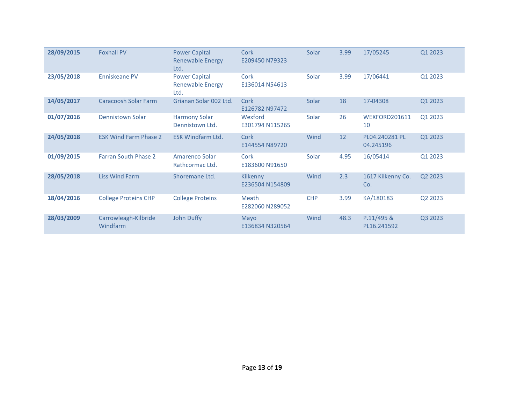| 28/09/2015 | <b>Foxhall PV</b>                | <b>Power Capital</b><br><b>Renewable Energy</b><br>Ltd. | Cork<br>E209450 N79323      | Solar      | 3.99 | 17/05245                    | Q1 2023 |
|------------|----------------------------------|---------------------------------------------------------|-----------------------------|------------|------|-----------------------------|---------|
| 23/05/2018 | Enniskeane PV                    | <b>Power Capital</b><br><b>Renewable Energy</b><br>Ltd. | Cork<br>E136014 N54613      | Solar      | 3.99 | 17/06441                    | Q1 2023 |
| 14/05/2017 | <b>Caracoosh Solar Farm</b>      | Grianan Solar 002 Ltd.                                  | Cork<br>E126782 N97472      | Solar      | 18   | 17-04308                    | Q1 2023 |
| 01/07/2016 | <b>Dennistown Solar</b>          | <b>Harmony Solar</b><br>Dennistown Ltd.                 | Wexford<br>E301794 N115265  | Solar      | 26   | WEXFORD201611<br>10         | Q1 2023 |
| 24/05/2018 | <b>ESK Wind Farm Phase 2</b>     | <b>ESK Windfarm Ltd.</b>                                | Cork<br>E144554 N89720      | Wind       | 12   | PL04.240281 PL<br>04.245196 | Q1 2023 |
| 01/09/2015 | <b>Farran South Phase 2</b>      | Amarenco Solar<br>Rathcormac Ltd.                       | Cork<br>E183600 N91650      | Solar      | 4.95 | 16/05414                    | Q1 2023 |
| 28/05/2018 | <b>Liss Wind Farm</b>            | Shoremane Ltd.                                          | Kilkenny<br>E236504 N154809 | Wind       | 2.3  | 1617 Kilkenny Co.<br>Co.    | Q2 2023 |
| 18/04/2016 | <b>College Proteins CHP</b>      | <b>College Proteins</b>                                 | Meath<br>E282060 N289052    | <b>CHP</b> | 3.99 | KA/180183                   | Q2 2023 |
| 28/03/2009 | Carrowleagh-Kilbride<br>Windfarm | <b>John Duffy</b>                                       | Mayo<br>E136834 N320564     | Wind       | 48.3 | P.11/495 &<br>PL16.241592   | Q3 2023 |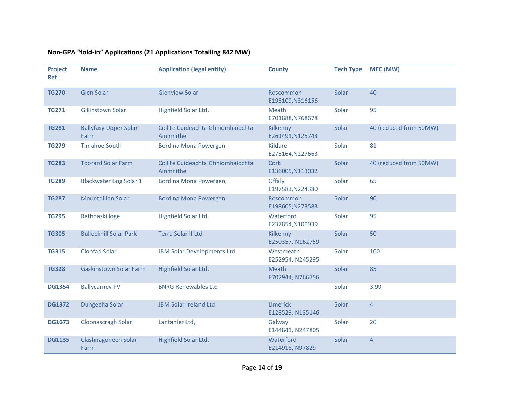| Project<br><b>Ref</b> | <b>Name</b>                          | <b>Application (legal entity)</b>              | <b>County</b>                       | <b>Tech Type</b> | MEC (MW)               |
|-----------------------|--------------------------------------|------------------------------------------------|-------------------------------------|------------------|------------------------|
| <b>TG270</b>          | Glen Solar                           | <b>Glenview Solar</b>                          | Roscommon<br>E195109,N316156        | Solar            | 40                     |
| <b>TG271</b>          | Gillinstown Solar                    | Highfield Solar Ltd.                           | Meath<br>E701888,N768678            | Solar            | 95                     |
| <b>TG281</b>          | <b>Ballyfasy Upper Solar</b><br>Farm | Coillte Cuideachta Ghniomhaiochta<br>Ainmnithe | Kilkenny<br>E261491, N125743        | Solar            | 40 (reduced from 50MW) |
| <b>TG279</b>          | <b>Timahoe South</b>                 | Bord na Mona Powergen                          | Kildare<br>E275164, N227663         | Solar            | 81                     |
| <b>TG283</b>          | <b>Toorard Solar Farm</b>            | Coillte Cuideachta Ghniomhaiochta<br>Ainmnithe | Cork<br>E136005, N113032            | Solar            | 40 (reduced from 50MW) |
| <b>TG289</b>          | <b>Blackwater Bog Solar 1</b>        | Bord na Mona Powergen,                         | <b>Offaly</b><br>E197583, N224380   | Solar            | 65                     |
| <b>TG287</b>          | <b>Mountdillon Solar</b>             | Bord na Mona Powergen                          | <b>Roscommon</b><br>E198605,N273583 | Solar            | 90                     |
| <b>TG295</b>          | Rathnaskilloge                       | Highfield Solar Ltd.                           | Waterford<br>E237854,N100939        | Solar            | 95                     |
| <b>TG305</b>          | <b>Bullockhill Solar Park</b>        | Terra Solar II Ltd                             | Kilkenny<br>E250357, N162759        | Solar            | 50                     |
| <b>TG315</b>          | <b>Clonfad Solar</b>                 | <b>JBM Solar Developments Ltd</b>              | Westmeath<br>E252954, N245295       | Solar            | 100                    |
| <b>TG328</b>          | <b>Gaskinstown Solar Farm</b>        | Highfield Solar Ltd.                           | Meath<br>E702944, N766756           | Solar            | 85                     |
| <b>DG1354</b>         | <b>Ballycarney PV</b>                | <b>BNRG Renewables Ltd</b>                     |                                     | Solar            | 3.99                   |
| <b>DG1372</b>         | Dungeeha Solar                       | <b>JBM Solar Ireland Ltd</b>                   | Limerick<br>E128529, N135146        | Solar            | $\overline{4}$         |
| <b>DG1673</b>         | Cloonascragh Solar                   | Lantanier Ltd,                                 | Galway<br>E144841, N247805          | Solar            | 20                     |
| <b>DG1135</b>         | Clashnagoneen Solar<br>Farm          | Highfield Solar Ltd.                           | Waterford<br>E214918, N97829        | Solar            | $\overline{4}$         |

# **Non-GPA "fold-in" Applications (21 Applications Totalling 842 MW)**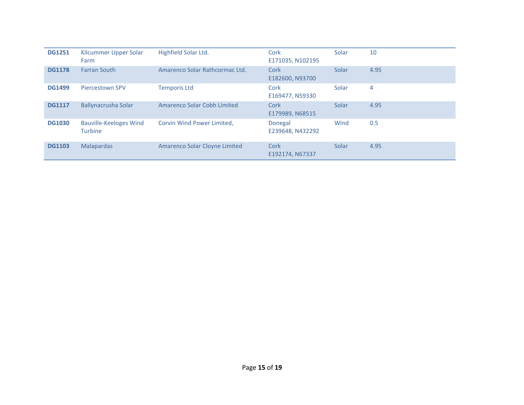| <b>DG1251</b> | Kilcummer Upper Solar<br>Farm            | Highfield Solar Ltd.           | Cork<br>E171035, N102195    | Solar | 10   |
|---------------|------------------------------------------|--------------------------------|-----------------------------|-------|------|
| <b>DG1178</b> | <b>Farran South</b>                      | Amarenco Solar Rathcormac Ltd. | Cork<br>E182600, N93700     | Solar | 4.95 |
| <b>DG1499</b> | Piercestown SPV                          | <b>Temporis Ltd</b>            | Cork<br>E169477, N59330     | Solar | 4    |
| <b>DG1117</b> | Ballynacrusha Solar                      | Amarenco Solar Cobh Limited    | Cork<br>E179989, N68515     | Solar | 4.95 |
| <b>DG1030</b> | <b>Bauville-Keeloges Wind</b><br>Turbine | Corvin Wind Power Limited,     | Donegal<br>E239648, N432292 | Wind  | 0.5  |
| <b>DG1103</b> | <b>Malapardas</b>                        | Amarenco Solar Cloyne Limited  | Cork<br>E192174, N67337     | Solar | 4.95 |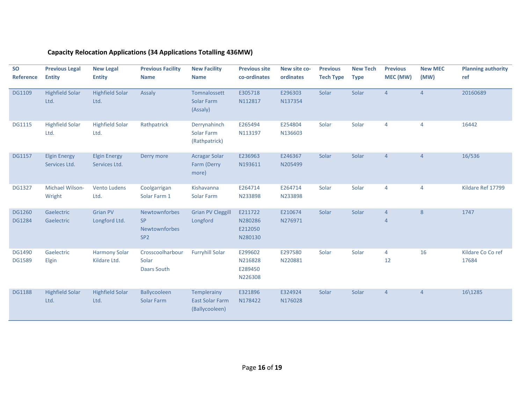# **Capacity Relocation Applications (34 Applications Totalling 436MW)**

| <b>SO</b><br><b>Reference</b> | <b>Previous Legal</b><br><b>Entity</b> | <b>New Legal</b><br><b>Entity</b>    | <b>Previous Facility</b><br><b>Name</b>                        | <b>New Facility</b><br><b>Name</b>                      | <b>Previous site</b><br>co-ordinates     | New site co-<br>ordinates | <b>Previous</b><br><b>Tech Type</b> | <b>New Tech</b><br><b>Type</b> | <b>Previous</b><br>MEC (MW) | <b>New MEC</b><br>(MW) | <b>Planning authority</b><br>ref |
|-------------------------------|----------------------------------------|--------------------------------------|----------------------------------------------------------------|---------------------------------------------------------|------------------------------------------|---------------------------|-------------------------------------|--------------------------------|-----------------------------|------------------------|----------------------------------|
| <b>DG1109</b>                 | <b>Highfield Solar</b><br>Ltd.         | <b>Highfield Solar</b><br>Ltd.       | Assaly                                                         | Tomnalossett<br>Solar Farm<br>(Assaly)                  | E305718<br>N112817                       | E296303<br>N137354        | Solar                               | Solar                          | $\overline{4}$              | $\overline{4}$         | 20160689                         |
| <b>DG1115</b>                 | <b>Highfield Solar</b><br>Ltd.         | <b>Highfield Solar</b><br>Ltd.       | Rathpatrick                                                    | Derrynahinch<br>Solar Farm<br>(Rathpatrick)             | E265494<br>N113197                       | E254804<br>N136603        | Solar                               | Solar                          | 4                           | $\overline{4}$         | 16442                            |
| <b>DG1157</b>                 | <b>Elgin Energy</b><br>Services Ltd.   | <b>Elgin Energy</b><br>Services Ltd. | Derry more                                                     | <b>Acragar Solar</b><br>Farm (Derry<br>more)            | E236963<br>N193611                       | E246367<br>N205499        | Solar                               | Solar                          | $\overline{4}$              | $\overline{4}$         | 16/536                           |
| <b>DG1327</b>                 | Michael Wilson-<br>Wright              | <b>Vento Ludens</b><br>Ltd.          | Coolgarrigan<br>Solar Farm 1                                   | Kishavanna<br>Solar Farm                                | E264714<br>N233898                       | E264714<br>N233898        | Solar                               | Solar                          | 4                           | $\overline{4}$         | Kildare Ref 17799                |
| DG1260<br><b>DG1284</b>       | Gaelectric<br>Gaelectric               | <b>Grian PV</b><br>Longford Ltd.     | Newtownforbes<br><b>SP</b><br>Newtownforbes<br>SP <sub>2</sub> | <b>Grian PV Cleggill</b><br>Longford                    | E211722<br>N280286<br>E212050<br>N280130 | E210674<br>N276971        | Solar                               | Solar                          | 4<br>$\overline{4}$         | 8                      | 1747                             |
| DG1490<br><b>DG1589</b>       | Gaelectric<br>Elgin                    | <b>Harmony Solar</b><br>Kildare Ltd. | Crosscoolharbour<br>Solar<br><b>Daars South</b>                | <b>Furryhill Solar</b>                                  | E299602<br>N216828<br>E289450<br>N226308 | E297580<br>N220881        | Solar                               | Solar                          | $\overline{4}$<br>12        | 16                     | Kildare Co Co ref<br>17684       |
| <b>DG1188</b>                 | <b>Highfield Solar</b><br>Ltd.         | <b>Highfield Solar</b><br>Ltd.       | Ballycooleen<br>Solar Farm                                     | Templerainy<br><b>East Solar Farm</b><br>(Ballycooleen) | E321896<br>N178422                       | E324924<br>N176028        | Solar                               | Solar                          | $\overline{4}$              | $\overline{4}$         | 16\1285                          |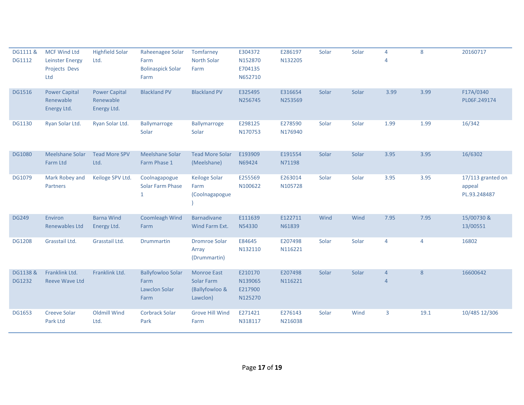| DG1111 &<br><b>DG1112</b> | <b>MCF Wind Ltd</b><br><b>Leinster Energy</b><br>Projects Devs<br>Ltd | <b>Highfield Solar</b><br>Ltd.                   | Raheenagee Solar<br>Farm<br><b>Bolinaspick Solar</b><br>Farm | Tomfarney<br>North Solar<br>Farm                               | E304372<br>N152870<br>E704135<br>N652710 | E286197<br>N132205 | Solar | Solar | $\overline{4}$<br>$\overline{4}$ | 8    | 20160717                                    |
|---------------------------|-----------------------------------------------------------------------|--------------------------------------------------|--------------------------------------------------------------|----------------------------------------------------------------|------------------------------------------|--------------------|-------|-------|----------------------------------|------|---------------------------------------------|
| <b>DG1516</b>             | <b>Power Capital</b><br>Renewable<br>Energy Ltd.                      | <b>Power Capital</b><br>Renewable<br>Energy Ltd. | <b>Blackland PV</b>                                          | <b>Blackland PV</b>                                            | E325495<br>N256745                       | E316654<br>N253569 | Solar | Solar | 3.99                             | 3.99 | F17A/0340<br>PL06F.249174                   |
| <b>DG1130</b>             | Ryan Solar Ltd.                                                       | Ryan Solar Ltd.                                  | <b>Ballymarroge</b><br>Solar                                 | Ballymarroge<br>Solar                                          | E298125<br>N170753                       | E278590<br>N176940 | Solar | Solar | 1.99                             | 1.99 | 16/342                                      |
| <b>DG1080</b>             | Meelshane Solar<br>Farm Ltd                                           | <b>Tead More SPV</b><br>Ltd.                     | <b>Meelshane Solar</b><br>Farm Phase 1                       | <b>Tead More Solar</b><br>(Meelshane)                          | E193909<br>N69424                        | E191554<br>N71198  | Solar | Solar | 3.95                             | 3.95 | 16/6302                                     |
| DG1079                    | Mark Robey and<br>Partners                                            | Keiloge SPV Ltd.                                 | Coolnagapogue<br><b>Solar Farm Phase</b><br>$\mathbf{1}$     | Keiloge Solar<br>Farm<br>(Coolnagapogue                        | E255569<br>N100622                       | E263014<br>N105728 | Solar | Solar | 3.95                             | 3.95 | 17/113 granted on<br>appeal<br>PL.93.248487 |
| <b>DG249</b>              | Environ<br><b>Renewables Ltd</b>                                      | <b>Barna Wind</b><br>Energy Ltd.                 | <b>Coomleagh Wind</b><br>Farm                                | <b>Barnadivane</b><br>Wind Farm Ext.                           | E111639<br>N54330                        | E122711<br>N61839  | Wind  | Wind  | 7.95                             | 7.95 | 15/00730 &<br>13/00551                      |
| <b>DG1208</b>             | Grasstail Ltd.                                                        | Grasstail Ltd.                                   | <b>Drummartin</b>                                            | <b>Dromroe Solar</b><br>Array<br>(Drummartin)                  | E84645<br>N132110                        | E207498<br>N116221 | Solar | Solar | $\overline{4}$                   | 4    | 16802                                       |
| DG1138 &<br><b>DG1232</b> | Franklink Ltd.<br><b>Reeve Wave Ltd</b>                               | Franklink Ltd.                                   | <b>Ballyfowloo Solar</b><br>Farm<br>Lawclon Solar<br>Farm    | <b>Monroe East</b><br>Solar Farm<br>(Ballyfowloo &<br>Lawclon) | E210170<br>N139065<br>E217900<br>N125270 | E207498<br>N116221 | Solar | Solar | $\overline{4}$<br>$\overline{4}$ | 8    | 16600642                                    |
| <b>DG1653</b>             | <b>Creeve Solar</b><br>Park Ltd                                       | <b>Oldmill Wind</b><br>Ltd.                      | <b>Corbrack Solar</b><br>Park                                | <b>Grove Hill Wind</b><br>Farm                                 | E271421<br>N318117                       | E276143<br>N216038 | Solar | Wind  | 3                                | 19.1 | 10/485 12/306                               |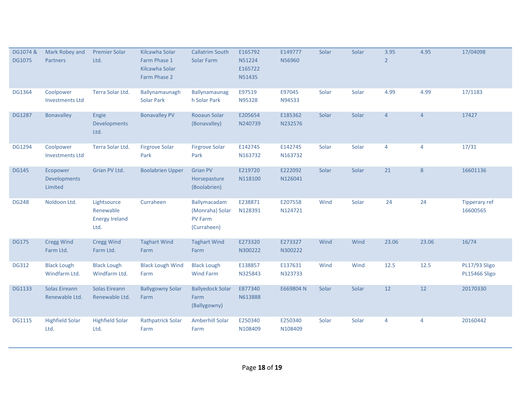| DG1074 &<br><b>DG1075</b> | Mark Robey and<br>Partners                 | <b>Premier Solar</b><br>Ltd.                              | Kilcawha Solar<br>Farm Phase 1<br>Kilcawha Solar<br>Farm Phase 2 | <b>Callatrim South</b><br>Solar Farm                             | E165792<br>N51224<br>E165722<br>N51435 | E149777<br>N56960  | Solar | Solar | 3.95<br>$\overline{2}$ | 4.95           | 17/04098                         |
|---------------------------|--------------------------------------------|-----------------------------------------------------------|------------------------------------------------------------------|------------------------------------------------------------------|----------------------------------------|--------------------|-------|-------|------------------------|----------------|----------------------------------|
| DG1364                    | Coolpower<br><b>Investments Ltd</b>        | Terra Solar Ltd.                                          | Ballynamaunagh<br><b>Solar Park</b>                              | Ballynamaunag<br>h Solar Park                                    | E97519<br>N95328                       | E97045<br>N94533   | Solar | Solar | 4.99                   | 4.99           | 17/1183                          |
| <b>DG1287</b>             | <b>Bonavalley</b>                          | Engie<br><b>Developments</b><br>Ltd.                      | <b>Bonavalley PV</b>                                             | Rooaun Solar<br>(Bonavalley)                                     | E205654<br>N240739                     | E185362<br>N232576 | Solar | Solar | $\overline{4}$         | $\overline{4}$ | 17427                            |
| DG1294                    | Coolpower<br><b>Investments Ltd</b>        | Terra Solar Ltd.                                          | <b>Firgrove Solar</b><br>Park                                    | <b>Firgrove Solar</b><br>Park                                    | E142745<br>N163732                     | E142745<br>N163732 | Solar | Solar | $\overline{4}$         | $\overline{4}$ | 17/31                            |
| <b>DG145</b>              | Ecopower<br><b>Developments</b><br>Limited | Grian PV Ltd.                                             | <b>Boolabrien Upper</b>                                          | <b>Grian PV</b><br>Horsepasture<br>(Boolabrien)                  | E219720<br>N118100                     | E222092<br>N126041 | Solar | Solar | 21                     | 8              | 16601136                         |
| <b>DG248</b>              | Noldoon Ltd.                               | Lightsource<br>Renewable<br><b>Energy Ireland</b><br>Ltd. | Curraheen                                                        | Ballymacadam<br>(Monraha) Solar<br><b>PV Farm</b><br>(Curraheen) | E238871<br>N128391                     | E207558<br>N124721 | Wind  | Solar | 24                     | 24             | <b>Tipperary ref</b><br>16600565 |
| <b>DG175</b>              | <b>Cregg Wind</b><br>Farm Ltd.             | <b>Cregg Wind</b><br>Farm Ltd.                            | <b>Taghart Wind</b><br>Farm                                      | <b>Taghart Wind</b><br>Farm                                      | E273320<br>N300222                     | E273327<br>N300222 | Wind  | Wind  | 23.06                  | 23.06          | 16/74                            |
| <b>DG312</b>              | <b>Black Lough</b><br>Windfarm Ltd.        | <b>Black Lough</b><br>Windfarm Ltd.                       | <b>Black Lough Wind</b><br>Farm                                  | <b>Black Lough</b><br><b>Wind Farm</b>                           | E138857<br>N325843                     | E137631<br>N323733 | Wind  | Wind  | 12.5                   | 12.5           | PL17/93 Sligo<br>PL15466 Sligo   |
| <b>DG1133</b>             | Solas Eireann<br>Renewable Ltd.            | Solas Eireann<br>Renewable Ltd.                           | <b>Ballygowny Solar</b><br>Farm                                  | <b>Ballyedock Solar</b><br>Farm<br>(Ballygowny)                  | E877340<br>N613888                     | E669804 N          | Solar | Solar | 12                     | 12             | 20170330                         |
| <b>DG1115</b>             | <b>Highfield Solar</b><br>Ltd.             | <b>Highfield Solar</b><br>Ltd.                            | <b>Rathpatrick Solar</b><br>Farm                                 | Amberhill Solar<br>Farm                                          | E250340<br>N108409                     | E250340<br>N108409 | Solar | Solar | 4                      | 4              | 20160442                         |